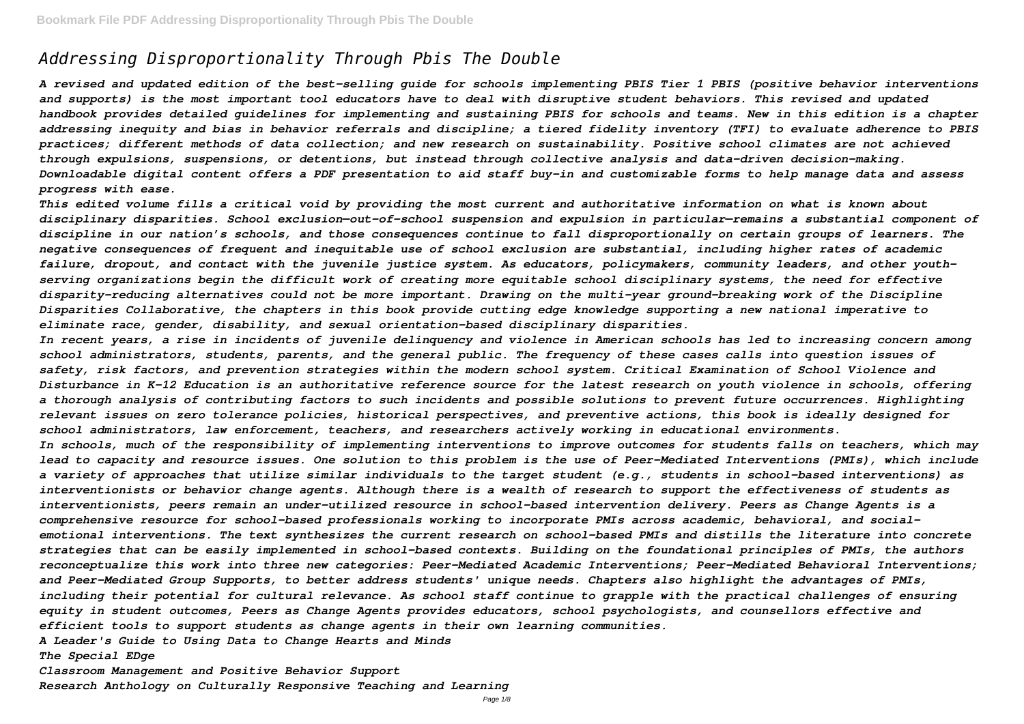# *Addressing Disproportionality Through Pbis The Double*

*A revised and updated edition of the best-selling guide for schools implementing PBIS Tier 1 PBIS (positive behavior interventions and supports) is the most important tool educators have to deal with disruptive student behaviors. This revised and updated handbook provides detailed guidelines for implementing and sustaining PBIS for schools and teams. New in this edition is a chapter addressing inequity and bias in behavior referrals and discipline; a tiered fidelity inventory (TFI) to evaluate adherence to PBIS practices; different methods of data collection; and new research on sustainability. Positive school climates are not achieved through expulsions, suspensions, or detentions, but instead through collective analysis and data-driven decision-making. Downloadable digital content offers a PDF presentation to aid staff buy-in and customizable forms to help manage data and assess progress with ease.*

*This edited volume fills a critical void by providing the most current and authoritative information on what is known about disciplinary disparities. School exclusion—out-of-school suspension and expulsion in particular—remains a substantial component of discipline in our nation's schools, and those consequences continue to fall disproportionally on certain groups of learners. The negative consequences of frequent and inequitable use of school exclusion are substantial, including higher rates of academic failure, dropout, and contact with the juvenile justice system. As educators, policymakers, community leaders, and other youthserving organizations begin the difficult work of creating more equitable school disciplinary systems, the need for effective disparity-reducing alternatives could not be more important. Drawing on the multi-year ground-breaking work of the Discipline Disparities Collaborative, the chapters in this book provide cutting edge knowledge supporting a new national imperative to eliminate race, gender, disability, and sexual orientation-based disciplinary disparities.*

*In recent years, a rise in incidents of juvenile delinquency and violence in American schools has led to increasing concern among school administrators, students, parents, and the general public. The frequency of these cases calls into question issues of safety, risk factors, and prevention strategies within the modern school system. Critical Examination of School Violence and Disturbance in K-12 Education is an authoritative reference source for the latest research on youth violence in schools, offering a thorough analysis of contributing factors to such incidents and possible solutions to prevent future occurrences. Highlighting relevant issues on zero tolerance policies, historical perspectives, and preventive actions, this book is ideally designed for school administrators, law enforcement, teachers, and researchers actively working in educational environments. In schools, much of the responsibility of implementing interventions to improve outcomes for students falls on teachers, which may lead to capacity and resource issues. One solution to this problem is the use of Peer-Mediated Interventions (PMIs), which include a variety of approaches that utilize similar individuals to the target student (e.g., students in school-based interventions) as interventionists or behavior change agents. Although there is a wealth of research to support the effectiveness of students as interventionists, peers remain an under-utilized resource in school-based intervention delivery. Peers as Change Agents is a comprehensive resource for school-based professionals working to incorporate PMIs across academic, behavioral, and social*emotional interventions. The text synthesizes the current research on school-based PMIs and distills the literature into concrete *strategies that can be easily implemented in school-based contexts. Building on the foundational principles of PMIs, the authors reconceptualize this work into three new categories: Peer-Mediated Academic Interventions; Peer-Mediated Behavioral Interventions; and Peer-Mediated Group Supports, to better address students' unique needs. Chapters also highlight the advantages of PMIs, including their potential for cultural relevance. As school staff continue to grapple with the practical challenges of ensuring equity in student outcomes, Peers as Change Agents provides educators, school psychologists, and counsellors effective and efficient tools to support students as change agents in their own learning communities. A Leader's Guide to Using Data to Change Hearts and Minds*

*The Special EDge*

*Classroom Management and Positive Behavior Support*

*Research Anthology on Culturally Responsive Teaching and Learning*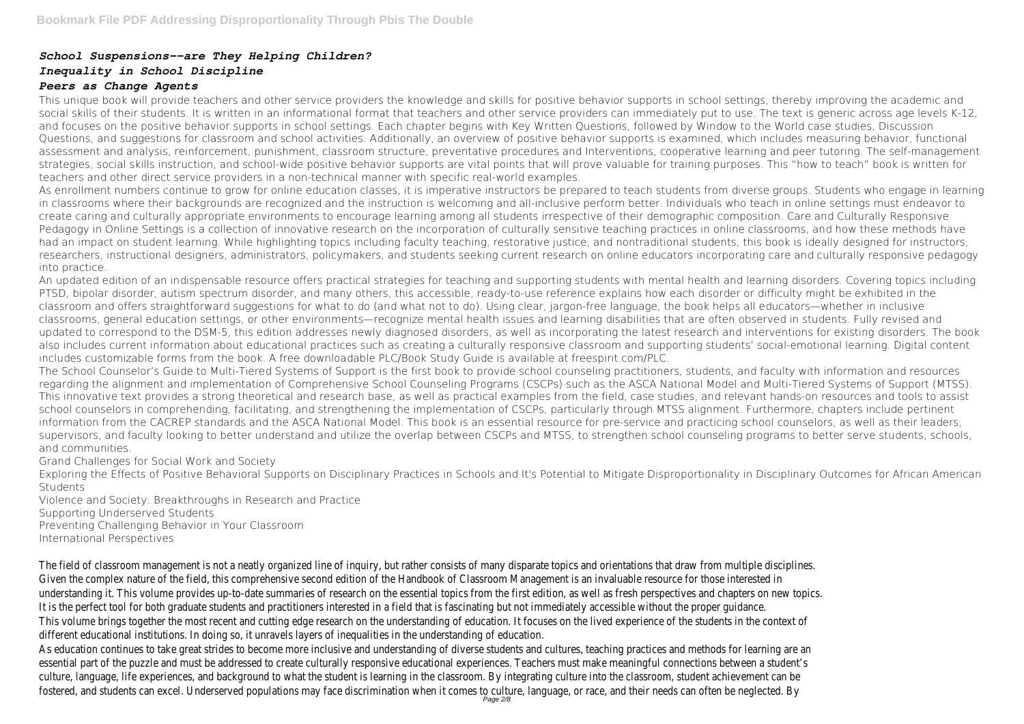# *School Suspensions--are They Helping Children?*

# *Inequality in School Discipline*

## *Peers as Change Agents*

This unique book will provide teachers and other service providers the knowledge and skills for positive behavior supports in school settings, thereby improving the academic and social skills of their students. It is written in an informational format that teachers and other service providers can immediately put to use. The text is generic across age levels K-12, and focuses on the positive behavior supports in school settings. Each chapter begins with Key Written Questions, followed by Window to the World case studies, Discussion Questions, and suggestions for classroom and school activities. Additionally, an overview of positive behavior supports is examined, which includes measuring behavior, functional assessment and analysis, reinforcement, punishment, classroom structure, preventative procedures and Interventions, cooperative learning and peer tutoring. The self-management strategies, social skills instruction, and school-wide positive behavior supports are vital points that will prove valuable for training purposes. This "how to teach" book is written for teachers and other direct service providers in a non-technical manner with specific real-world examples.

As enrollment numbers continue to grow for online education classes, it is imperative instructors be prepared to teach students from diverse groups. Students who engage in learning in classrooms where their backgrounds are recognized and the instruction is welcoming and all-inclusive perform better. Individuals who teach in online settings must endeavor to create caring and culturally appropriate environments to encourage learning among all students irrespective of their demographic composition. Care and Culturally Responsive Pedagogy in Online Settings is a collection of innovative research on the incorporation of culturally sensitive teaching practices in online classrooms, and how these methods have had an impact on student learning. While highlighting topics including faculty teaching, restorative justice, and nontraditional students, this book is ideally designed for instructors, researchers, instructional designers, administrators, policymakers, and students seeking current research on online educators incorporating care and culturally responsive pedagogy into practice.

An updated edition of an indispensable resource offers practical strategies for teaching and supporting students with mental health and learning disorders. Covering topics including PTSD, bipolar disorder, autism spectrum disorder, and many others, this accessible, ready-to-use reference explains how each disorder or difficulty might be exhibited in the classroom and offers straightforward suggestions for what to do (and what not to do). Using clear, jargon-free language, the book helps all educators—whether in inclusive classrooms, general education settings, or other environments—recognize mental health issues and learning disabilities that are often observed in students. Fully revised and updated to correspond to the DSM-5, this edition addresses newly diagnosed disorders, as well as incorporating the latest research and interventions for existing disorders. The book also includes current information about educational practices such as creating a culturally responsive classroom and supporting students' social-emotional learning. Digital content includes customizable forms from the book. A free downloadable PLC/Book Study Guide is available at freespirit.com/PLC.

The School Counselor's Guide to Multi-Tiered Systems of Support is the first book to provide school counseling practitioners, students, and faculty with information and resources regarding the alignment and implementation of Comprehensive School Counseling Programs (CSCPs) such as the ASCA National Model and Multi-Tiered Systems of Support (MTSS). This innovative text provides a strong theoretical and research base, as well as practical examples from the field, case studies, and relevant hands-on resources and tools to assist school counselors in comprehending, facilitating, and strengthening the implementation of CSCPs, particularly through MTSS alignment. Furthermore, chapters include pertinent information from the CACREP standards and the ASCA National Model. This book is an essential resource for pre-service and practicing school counselors, as well as their leaders, supervisors, and faculty looking to better understand and utilize the overlap between CSCPs and MTSS, to strengthen school counseling programs to better serve students, schools, and communities.

Grand Challenges for Social Work and Society

Exploring the Effects of Positive Behavioral Supports on Disciplinary Practices in Schools and It's Potential to Mitigate Disproportionality in Disciplinary Outcomes for African American Students

Violence and Society: Breakthroughs in Research and Practice

Supporting Underserved Students

Preventing Challenging Behavior in Your Classroom

International Perspectives

The field of classroom management is not a neatly organized line of inquiry, but rather consists of many disparate topics and orientations that draw from multiple disciplines. Given the complex nature of the field, this comprehensive second edition of the Handbook of Classroom Management is an invaluable resource for those interested in understanding it. This volume provides up-to-date summaries of research on the essential topics from the first edition, as well as fresh perspectives and chapters on new topics It is the perfect tool for both graduate students and practitioners interested in a field that is fascinating but not immediately accessible without the proper guidance. This volume brings together the most recent and cutting edge research on the understanding of education. It focuses on the lived experience of the students in the context of different educational institutions. In doing so, it unravels layers of inequalities in the understanding of education. As education continues to take great strides to become more inclusive and understanding of diverse students and cultures, teaching practices and methods for learning are an essential part of the puzzle and must be addressed to create culturally responsive educational experiences. Teachers must make meaningful connections between a student's culture, language, life experiences, and background to what the student is learning in the classroom. By integrating culture into the classroom, student achievement can be fostered, and students can excel. Underserved populations may face discrimination when it comes to culture, language, or race, and their needs can often be neglected. By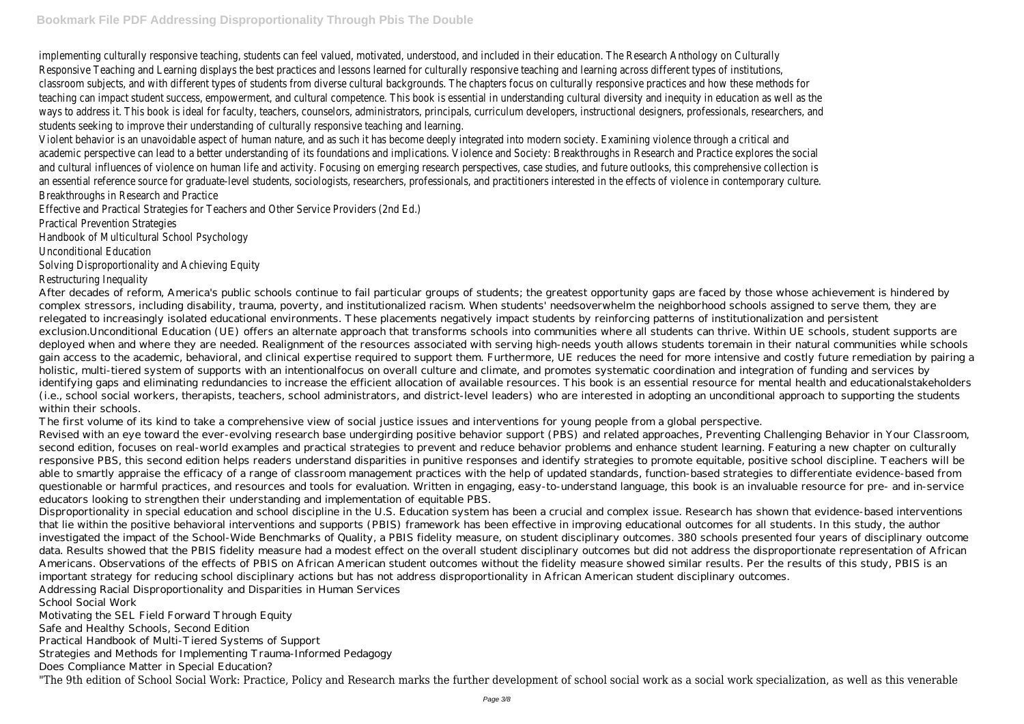implementing culturally responsive teaching, students can feel valued, motivated, understood, and included in their education. The Research Anthology on Culturally Responsive Teaching and Learning displays the best practices and lessons learned for culturally responsive teaching and learning across different types of institutions, classroom subjects, and with different types of students from diverse cultural backgrounds. The chapters focus on culturally responsive practices and how these methods for teaching can impact student success, empowerment, and cultural competence. This book is essential in understanding cultural diversity and inequity in education as well as the ways to address it. This book is ideal for faculty, teachers, counselors, administrators, principals, curriculum developers, instructional designers, professionals, researchers, and students seeking to improve their understanding of culturally responsive teaching and learning.

Violent behavior is an unavoidable aspect of human nature, and as such it has become deeply integrated into modern society. Examining violence through a critical and academic perspective can lead to a better understanding of its foundations and implications. Violence and Society: Breakthroughs in Research and Practice explores the social and cultural influences of violence on human life and activity. Focusing on emerging research perspectives, case studies, and future outlooks, this comprehensive collection is an essential reference source for graduate-level students, sociologists, researchers, professionals, and practitioners interested in the effects of violence in contemporary culture Breakthroughs in Research and Practice

Effective and Practical Strategies for Teachers and Other Service Providers (2nd Ed.)

Practical Prevention Strategies

Handbook of Multicultural School Psychology

Unconditional Education

Solving Disproportionality and Achieving Equity

Restructuring Inequality

After decades of reform, America's public schools continue to fail particular groups of students; the greatest opportunity gaps are faced by those whose achievement is hindered by complex stressors, including disability, trauma, poverty, and institutionalized racism. When students' needsoverwhelm the neighborhood schools assigned to serve them, they are relegated to increasingly isolated educational environments. These placements negatively impact students by reinforcing patterns of institutionalization and persistent exclusion.Unconditional Education (UE) offers an alternate approach that transforms schools into communities where all students can thrive. Within UE schools, student supports are deployed when and where they are needed. Realignment of the resources associated with serving high-needs youth allows students toremain in their natural communities while schools gain access to the academic, behavioral, and clinical expertise required to support them. Furthermore, UE reduces the need for more intensive and costly future remediation by pairing a holistic, multi-tiered system of supports with an intentionalfocus on overall culture and climate, and promotes systematic coordination and integration of funding and services by identifying gaps and eliminating redundancies to increase the efficient allocation of available resources. This book is an essential resource for mental health and educationalstakeholders (i.e., school social workers, therapists, teachers, school administrators, and district-level leaders) who are interested in adopting an unconditional approach to supporting the students within their schools.

The first volume of its kind to take a comprehensive view of social justice issues and interventions for young people from a global perspective. Revised with an eye toward the ever-evolving research base undergirding positive behavior support (PBS) and related approaches, Preventing Challenging Behavior in Your Classroom, second edition, focuses on real-world examples and practical strategies to prevent and reduce behavior problems and enhance student learning. Featuring a new chapter on culturally responsive PBS, this second edition helps readers understand disparities in punitive responses and identify strategies to promote equitable, positive school discipline. Teachers will be able to smartly appraise the efficacy of a range of classroom management practices with the help of updated standards, function-based strategies to differentiate evidence-based from questionable or harmful practices, and resources and tools for evaluation. Written in engaging, easy-to-understand language, this book is an invaluable resource for pre- and in-service educators looking to strengthen their understanding and implementation of equitable PBS.

Disproportionality in special education and school discipline in the U.S. Education system has been a crucial and complex issue. Research has shown that evidence-based interventions that lie within the positive behavioral interventions and supports (PBIS) framework has been effective in improving educational outcomes for all students. In this study, the author investigated the impact of the School-Wide Benchmarks of Quality, a PBIS fidelity measure, on student disciplinary outcomes. 380 schools presented four years of disciplinary outcome data. Results showed that the PBIS fidelity measure had a modest effect on the overall student disciplinary outcomes but did not address the disproportionate representation of African Americans. Observations of the effects of PBIS on African American student outcomes without the fidelity measure showed similar results. Per the results of this study, PBIS is an important strategy for reducing school disciplinary actions but has not address disproportionality in African American student disciplinary outcomes. Addressing Racial Disproportionality and Disparities in Human Services

School Social Work

Motivating the SEL Field Forward Through Equity

Safe and Healthy Schools, Second Edition

Practical Handbook of Multi-Tiered Systems of Support

Strategies and Methods for Implementing Trauma-Informed Pedagogy

Does Compliance Matter in Special Education?

"The 9th edition of School Social Work: Practice, Policy and Research marks the further development of school social work as a social work specialization, as well as this venerable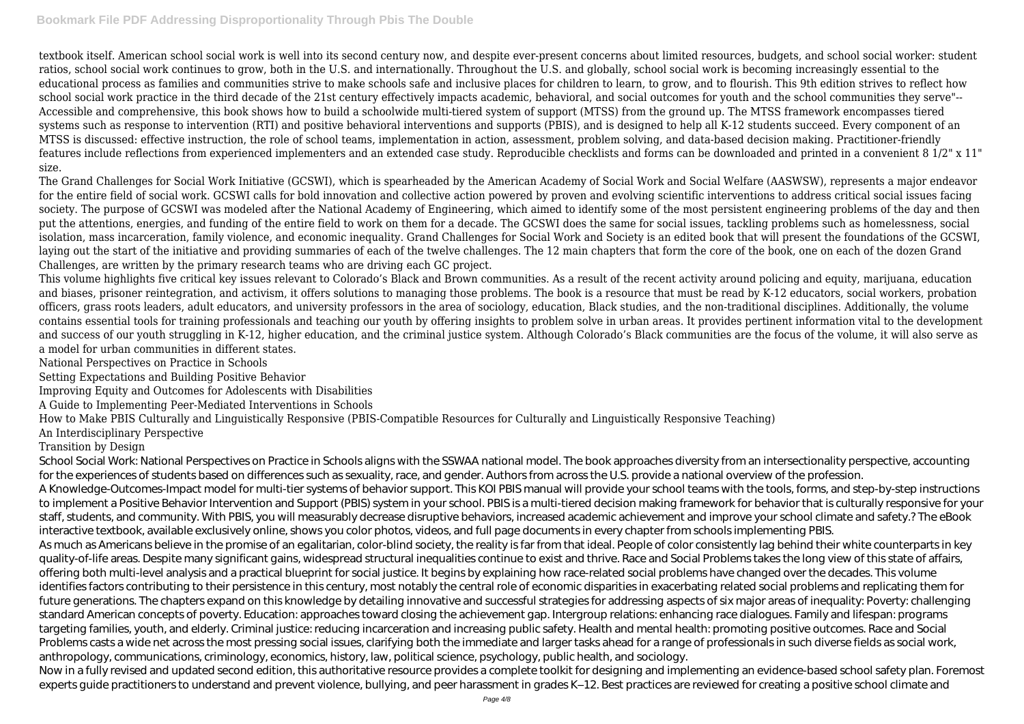textbook itself. American school social work is well into its second century now, and despite ever-present concerns about limited resources, budgets, and school social worker: student ratios, school social work continues to grow, both in the U.S. and internationally. Throughout the U.S. and globally, school social work is becoming increasingly essential to the educational process as families and communities strive to make schools safe and inclusive places for children to learn, to grow, and to flourish. This 9th edition strives to reflect how school social work practice in the third decade of the 21st century effectively impacts academic, behavioral, and social outcomes for youth and the school communities they serve"-- Accessible and comprehensive, this book shows how to build a schoolwide multi-tiered system of support (MTSS) from the ground up. The MTSS framework encompasses tiered systems such as response to intervention (RTI) and positive behavioral interventions and supports (PBIS), and is designed to help all K-12 students succeed. Every component of an MTSS is discussed: effective instruction, the role of school teams, implementation in action, assessment, problem solving, and data-based decision making. Practitioner-friendly features include reflections from experienced implementers and an extended case study. Reproducible checklists and forms can be downloaded and printed in a convenient 8 1/2" x 11" size.

The Grand Challenges for Social Work Initiative (GCSWI), which is spearheaded by the American Academy of Social Work and Social Welfare (AASWSW), represents a major endeavor for the entire field of social work. GCSWI calls for bold innovation and collective action powered by proven and evolving scientific interventions to address critical social issues facing society. The purpose of GCSWI was modeled after the National Academy of Engineering, which aimed to identify some of the most persistent engineering problems of the day and then put the attentions, energies, and funding of the entire field to work on them for a decade. The GCSWI does the same for social issues, tackling problems such as homelessness, social isolation, mass incarceration, family violence, and economic inequality. Grand Challenges for Social Work and Society is an edited book that will present the foundations of the GCSWI, laying out the start of the initiative and providing summaries of each of the twelve challenges. The 12 main chapters that form the core of the book, one on each of the dozen Grand Challenges, are written by the primary research teams who are driving each GC project.

This volume highlights five critical key issues relevant to Colorado's Black and Brown communities. As a result of the recent activity around policing and equity, marijuana, education and biases, prisoner reintegration, and activism, it offers solutions to managing those problems. The book is a resource that must be read by K-12 educators, social workers, probation officers, grass roots leaders, adult educators, and university professors in the area of sociology, education, Black studies, and the non-traditional disciplines. Additionally, the volume contains essential tools for training professionals and teaching our youth by offering insights to problem solve in urban areas. It provides pertinent information vital to the development and success of our youth struggling in K-12, higher education, and the criminal justice system. Although Colorado's Black communities are the focus of the volume, it will also serve as a model for urban communities in different states.

School Social Work: National Perspectives on Practice in Schools aligns with the SSWAA national model. The book approaches diversity from an intersectionality perspective, accounting for the experiences of students based on differences such as sexuality, race, and gender. Authors from across the U.S. provide a national overview of the profession. A Knowledge-Outcomes-Impact model for multi-tier systems of behavior support. This KOI PBIS manual will provide your school teams with the tools, forms, and step-by-step instructions to implement a Positive Behavior Intervention and Support (PBIS) system in your school. PBIS is a multi-tiered decision making framework for behavior that is culturally responsive for your staff, students, and community. With PBIS, you will measurably decrease disruptive behaviors, increased academic achievement and improve your school climate and safety.? The eBook interactive textbook, available exclusively online, shows you color photos, videos, and full page documents in every chapter from schools implementing PBIS. As much as Americans believe in the promise of an egalitarian, color-blind society, the reality is far from that ideal. People of color consistently lag behind their white counterparts in key quality-of-life areas. Despite many significant gains, widespread structural inequalities continue to exist and thrive. Race and Social Problems takes the long view of this state of affairs, offering both multi-level analysis and a practical blueprint for social justice. It begins by explaining how race-related social problems have changed over the decades. This volume identifies factors contributing to their persistence in this century, most notably the central role of economic disparities in exacerbating related social problems and replicating them for future generations. The chapters expand on this knowledge by detailing innovative and successful strategies for addressing aspects of six major areas of inequality: Poverty: challenging standard American concepts of poverty. Education: approaches toward closing the achievement gap. Intergroup relations: enhancing race dialogues. Family and lifespan: programs targeting families, youth, and elderly. Criminal justice: reducing incarceration and increasing public safety. Health and mental health: promoting positive outcomes. Race and Social Problems casts a wide net across the most pressing social issues, clarifying both the immediate and larger tasks ahead for a range of professionals in such diverse fields as social work, anthropology, communications, criminology, economics, history, law, political science, psychology, public health, and sociology. Now in a fully revised and updated second edition, this authoritative resource provides a complete toolkit for designing and implementing an evidence-based school safety plan. Foremost experts guide practitioners to understand and prevent violence, bullying, and peer harassment in grades K–12. Best practices are reviewed for creating a positive school climate and

National Perspectives on Practice in Schools

Setting Expectations and Building Positive Behavior

Improving Equity and Outcomes for Adolescents with Disabilities

A Guide to Implementing Peer-Mediated Interventions in Schools

How to Make PBIS Culturally and Linguistically Responsive (PBIS-Compatible Resources for Culturally and Linguistically Responsive Teaching) An Interdisciplinary Perspective

Transition by Design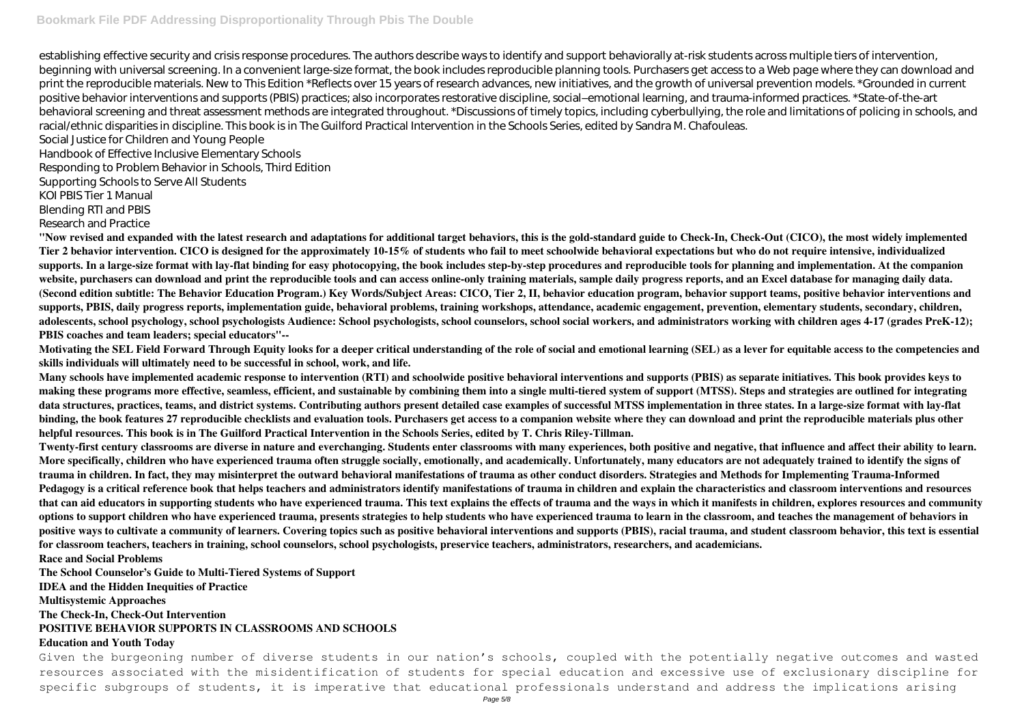establishing effective security and crisis response procedures. The authors describe ways to identify and support behaviorally at-risk students across multiple tiers of intervention, beginning with universal screening. In a convenient large-size format, the book includes reproducible planning tools. Purchasers get access to a Web page where they can download and print the reproducible materials. New to This Edition \*Reflects over 15 years of research advances, new initiatives, and the growth of universal prevention models. \*Grounded in current positive behavior interventions and supports (PBIS) practices; also incorporates restorative discipline, social–emotional learning, and trauma-informed practices. \*State-of-the-art behavioral screening and threat assessment methods are integrated throughout. \*Discussions of timely topics, including cyberbullying, the role and limitations of policing in schools, and racial/ethnic disparities in discipline. This book is in The Guilford Practical Intervention in the Schools Series, edited by Sandra M. Chafouleas.

Social Justice for Children and Young People Handbook of Effective Inclusive Elementary Schools

Responding to Problem Behavior in Schools, Third Edition

Supporting Schools to Serve All Students

KOI PBIS Tier 1 Manual

Blending RTI and PBIS

Research and Practice

**"Now revised and expanded with the latest research and adaptations for additional target behaviors, this is the gold-standard guide to Check-In, Check-Out (CICO), the most widely implemented Tier 2 behavior intervention. CICO is designed for the approximately 10-15% of students who fail to meet schoolwide behavioral expectations but who do not require intensive, individualized supports. In a large-size format with lay-flat binding for easy photocopying, the book includes step-by-step procedures and reproducible tools for planning and implementation. At the companion website, purchasers can download and print the reproducible tools and can access online-only training materials, sample daily progress reports, and an Excel database for managing daily data. (Second edition subtitle: The Behavior Education Program.) Key Words/Subject Areas: CICO, Tier 2, II, behavior education program, behavior support teams, positive behavior interventions and supports, PBIS, daily progress reports, implementation guide, behavioral problems, training workshops, attendance, academic engagement, prevention, elementary students, secondary, children, adolescents, school psychology, school psychologists Audience: School psychologists, school counselors, school social workers, and administrators working with children ages 4-17 (grades PreK-12); PBIS coaches and team leaders; special educators"--**

**Motivating the SEL Field Forward Through Equity looks for a deeper critical understanding of the role of social and emotional learning (SEL) as a lever for equitable access to the competencies and skills individuals will ultimately need to be successful in school, work, and life.**

**Many schools have implemented academic response to intervention (RTI) and schoolwide positive behavioral interventions and supports (PBIS) as separate initiatives. This book provides keys to making these programs more effective, seamless, efficient, and sustainable by combining them into a single multi-tiered system of support (MTSS). Steps and strategies are outlined for integrating data structures, practices, teams, and district systems. Contributing authors present detailed case examples of successful MTSS implementation in three states. In a large-size format with lay-flat binding, the book features 27 reproducible checklists and evaluation tools. Purchasers get access to a companion website where they can download and print the reproducible materials plus other helpful resources. This book is in The Guilford Practical Intervention in the Schools Series, edited by T. Chris Riley-Tillman.**

**Twenty-first century classrooms are diverse in nature and everchanging. Students enter classrooms with many experiences, both positive and negative, that influence and affect their ability to learn. More specifically, children who have experienced trauma often struggle socially, emotionally, and academically. Unfortunately, many educators are not adequately trained to identify the signs of trauma in children. In fact, they may misinterpret the outward behavioral manifestations of trauma as other conduct disorders. Strategies and Methods for Implementing Trauma-Informed Pedagogy is a critical reference book that helps teachers and administrators identify manifestations of trauma in children and explain the characteristics and classroom interventions and resources that can aid educators in supporting students who have experienced trauma. This text explains the effects of trauma and the ways in which it manifests in children, explores resources and community options to support children who have experienced trauma, presents strategies to help students who have experienced trauma to learn in the classroom, and teaches the management of behaviors in positive ways to cultivate a community of learners. Covering topics such as positive behavioral interventions and supports (PBIS), racial trauma, and student classroom behavior, this text is essential for classroom teachers, teachers in training, school counselors, school psychologists, preservice teachers, administrators, researchers, and academicians. Race and Social Problems**

**The School Counselor's Guide to Multi-Tiered Systems of Support**

**IDEA and the Hidden Inequities of Practice**

**Multisystemic Approaches**

**The Check-In, Check-Out Intervention**

### **POSITIVE BEHAVIOR SUPPORTS IN CLASSROOMS AND SCHOOLS**

### **Education and Youth Today**

Given the burgeoning number of diverse students in our nation's schools, coupled with the potentially negative outcomes and wasted resources associated with the misidentification of students for special education and excessive use of exclusionary discipline for specific subgroups of students, it is imperative that educational professionals understand and address the implications arising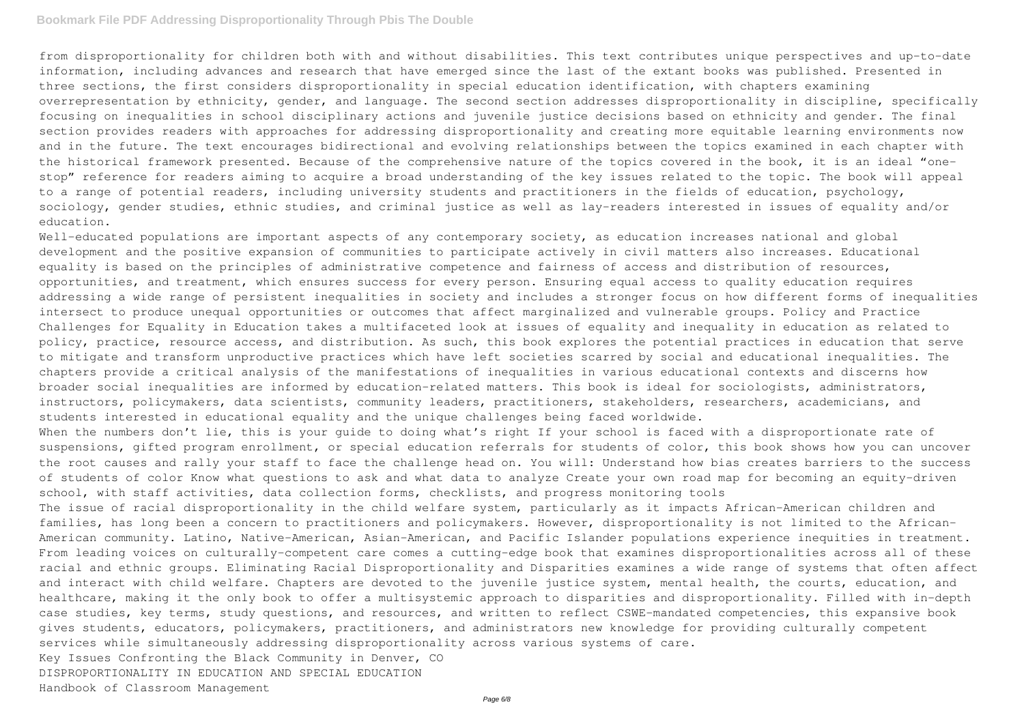from disproportionality for children both with and without disabilities. This text contributes unique perspectives and up-to-date information, including advances and research that have emerged since the last of the extant books was published. Presented in three sections, the first considers disproportionality in special education identification, with chapters examining overrepresentation by ethnicity, gender, and language. The second section addresses disproportionality in discipline, specifically focusing on inequalities in school disciplinary actions and juvenile justice decisions based on ethnicity and gender. The final section provides readers with approaches for addressing disproportionality and creating more equitable learning environments now and in the future. The text encourages bidirectional and evolving relationships between the topics examined in each chapter with the historical framework presented. Because of the comprehensive nature of the topics covered in the book, it is an ideal "onestop" reference for readers aiming to acquire a broad understanding of the key issues related to the topic. The book will appeal to a range of potential readers, including university students and practitioners in the fields of education, psychology, sociology, gender studies, ethnic studies, and criminal justice as well as lay-readers interested in issues of equality and/or education.

Well-educated populations are important aspects of any contemporary society, as education increases national and global development and the positive expansion of communities to participate actively in civil matters also increases. Educational equality is based on the principles of administrative competence and fairness of access and distribution of resources, opportunities, and treatment, which ensures success for every person. Ensuring equal access to quality education requires addressing a wide range of persistent inequalities in society and includes a stronger focus on how different forms of inequalities intersect to produce unequal opportunities or outcomes that affect marginalized and vulnerable groups. Policy and Practice Challenges for Equality in Education takes a multifaceted look at issues of equality and inequality in education as related to policy, practice, resource access, and distribution. As such, this book explores the potential practices in education that serve to mitigate and transform unproductive practices which have left societies scarred by social and educational inequalities. The chapters provide a critical analysis of the manifestations of inequalities in various educational contexts and discerns how broader social inequalities are informed by education-related matters. This book is ideal for sociologists, administrators, instructors, policymakers, data scientists, community leaders, practitioners, stakeholders, researchers, academicians, and students interested in educational equality and the unique challenges being faced worldwide.

When the numbers don't lie, this is your quide to doing what's right If your school is faced with a disproportionate rate of suspensions, gifted program enrollment, or special education referrals for students of color, this book shows how you can uncover the root causes and rally your staff to face the challenge head on. You will: Understand how bias creates barriers to the success of students of color Know what questions to ask and what data to analyze Create your own road map for becoming an equity-driven school, with staff activities, data collection forms, checklists, and progress monitoring tools

The issue of racial disproportionality in the child welfare system, particularly as it impacts African-American children and families, has long been a concern to practitioners and policymakers. However, disproportionality is not limited to the African-American community. Latino, Native-American, Asian-American, and Pacific Islander populations experience inequities in treatment. From leading voices on culturally-competent care comes a cutting-edge book that examines disproportionalities across all of these racial and ethnic groups. Eliminating Racial Disproportionality and Disparities examines a wide range of systems that often affect and interact with child welfare. Chapters are devoted to the juvenile justice system, mental health, the courts, education, and healthcare, making it the only book to offer a multisystemic approach to disparities and disproportionality. Filled with in-depth case studies, key terms, study questions, and resources, and written to reflect CSWE-mandated competencies, this expansive book gives students, educators, policymakers, practitioners, and administrators new knowledge for providing culturally competent services while simultaneously addressing disproportionality across various systems of care. Key Issues Confronting the Black Community in Denver, CO

DISPROPORTIONALITY IN EDUCATION AND SPECIAL EDUCATION

Handbook of Classroom Management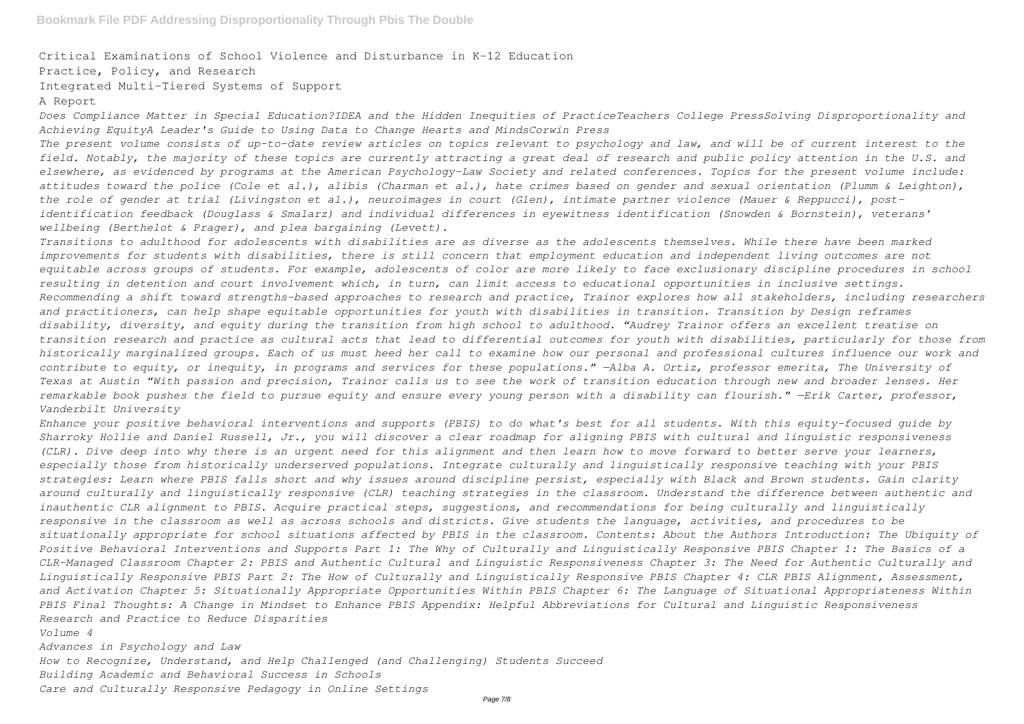Critical Examinations of School Violence and Disturbance in K-12 Education

Practice, Policy, and Research

Integrated Multi-Tiered Systems of Support

#### A Report

*Does Compliance Matter in Special Education?IDEA and the Hidden Inequities of PracticeTeachers College PressSolving Disproportionality and Achieving EquityA Leader's Guide to Using Data to Change Hearts and MindsCorwin Press*

*The present volume consists of up-to-date review articles on topics relevant to psychology and law, and will be of current interest to the field. Notably, the majority of these topics are currently attracting a great deal of research and public policy attention in the U.S. and elsewhere, as evidenced by programs at the American Psychology-Law Society and related conferences. Topics for the present volume include: attitudes toward the police (Cole et al.), alibis (Charman et al.), hate crimes based on gender and sexual orientation (Plumm & Leighton), the role of gender at trial (Livingston et al.), neuroimages in court (Glen), intimate partner violence (Mauer & Reppucci), postidentification feedback (Douglass & Smalarz) and individual differences in eyewitness identification (Snowden & Bornstein), veterans' wellbeing (Berthelot & Prager), and plea bargaining (Levett).*

*Transitions to adulthood for adolescents with disabilities are as diverse as the adolescents themselves. While there have been marked improvements for students with disabilities, there is still concern that employment education and independent living outcomes are not equitable across groups of students. For example, adolescents of color are more likely to face exclusionary discipline procedures in school resulting in detention and court involvement which, in turn, can limit access to educational opportunities in inclusive settings. Recommending a shift toward strengths-based approaches to research and practice, Trainor explores how all stakeholders, including researchers and practitioners, can help shape equitable opportunities for youth with disabilities in transition. Transition by Design reframes disability, diversity, and equity during the transition from high school to adulthood. "Audrey Trainor offers an excellent treatise on transition research and practice as cultural acts that lead to differential outcomes for youth with disabilities, particularly for those from historically marginalized groups. Each of us must heed her call to examine how our personal and professional cultures influence our work and contribute to equity, or inequity, in programs and services for these populations." —Alba A. Ortiz, professor emerita, The University of Texas at Austin "With passion and precision, Trainor calls us to see the work of transition education through new and broader lenses. Her remarkable book pushes the field to pursue equity and ensure every young person with a disability can flourish." —Erik Carter, professor, Vanderbilt University*

*Enhance your positive behavioral interventions and supports (PBIS) to do what's best for all students. With this equity-focused guide by Sharroky Hollie and Daniel Russell, Jr., you will discover a clear roadmap for aligning PBIS with cultural and linguistic responsiveness (CLR). Dive deep into why there is an urgent need for this alignment and then learn how to move forward to better serve your learners, especially those from historically underserved populations. Integrate culturally and linguistically responsive teaching with your PBIS strategies: Learn where PBIS falls short and why issues around discipline persist, especially with Black and Brown students. Gain clarity around culturally and linguistically responsive (CLR) teaching strategies in the classroom. Understand the difference between authentic and inauthentic CLR alignment to PBIS. Acquire practical steps, suggestions, and recommendations for being culturally and linguistically responsive in the classroom as well as across schools and districts. Give students the language, activities, and procedures to be situationally appropriate for school situations affected by PBIS in the classroom. Contents: About the Authors Introduction: The Ubiquity of Positive Behavioral Interventions and Supports Part 1: The Why of Culturally and Linguistically Responsive PBIS Chapter 1: The Basics of a CLR-Managed Classroom Chapter 2: PBIS and Authentic Cultural and Linguistic Responsiveness Chapter 3: The Need for Authentic Culturally and Linguistically Responsive PBIS Part 2: The How of Culturally and Linguistically Responsive PBIS Chapter 4: CLR PBIS Alignment, Assessment, and Activation Chapter 5: Situationally Appropriate Opportunities Within PBIS Chapter 6: The Language of Situational Appropriateness Within PBIS Final Thoughts: A Change in Mindset to Enhance PBIS Appendix: Helpful Abbreviations for Cultural and Linguistic Responsiveness Research and Practice to Reduce Disparities*

#### *Volume 4*

*Advances in Psychology and Law How to Recognize, Understand, and Help Challenged (and Challenging) Students Succeed Building Academic and Behavioral Success in Schools Care and Culturally Responsive Pedagogy in Online Settings*